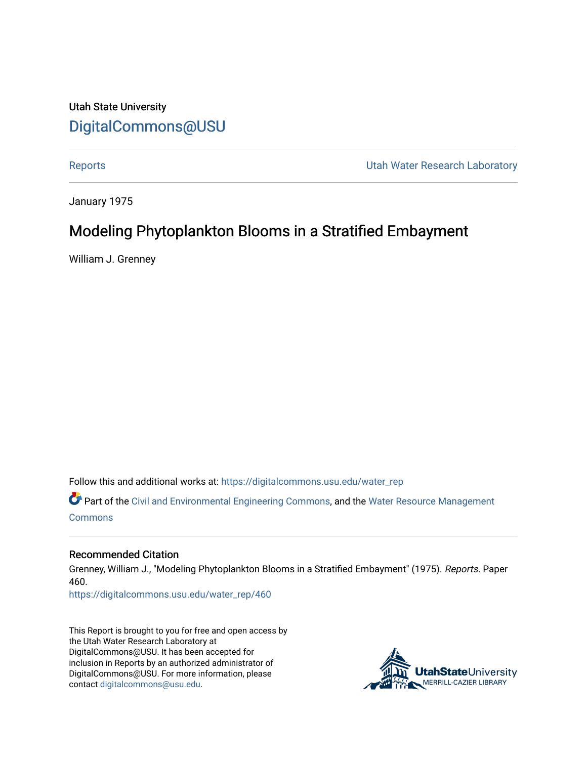Utah State University [DigitalCommons@USU](https://digitalcommons.usu.edu/)

[Reports](https://digitalcommons.usu.edu/water_rep) **National Community Community** Channel Community Utah Water Research Laboratory

January 1975

## Modeling Phytoplankton Blooms in a Stratified Embayment

William J. Grenney

Follow this and additional works at: [https://digitalcommons.usu.edu/water\\_rep](https://digitalcommons.usu.edu/water_rep?utm_source=digitalcommons.usu.edu%2Fwater_rep%2F460&utm_medium=PDF&utm_campaign=PDFCoverPages) 

Part of the [Civil and Environmental Engineering Commons](http://network.bepress.com/hgg/discipline/251?utm_source=digitalcommons.usu.edu%2Fwater_rep%2F460&utm_medium=PDF&utm_campaign=PDFCoverPages), and the [Water Resource Management](http://network.bepress.com/hgg/discipline/1057?utm_source=digitalcommons.usu.edu%2Fwater_rep%2F460&utm_medium=PDF&utm_campaign=PDFCoverPages) **[Commons](http://network.bepress.com/hgg/discipline/1057?utm_source=digitalcommons.usu.edu%2Fwater_rep%2F460&utm_medium=PDF&utm_campaign=PDFCoverPages)** 

#### Recommended Citation

Grenney, William J., "Modeling Phytoplankton Blooms in a Stratified Embayment" (1975). Reports. Paper 460.

[https://digitalcommons.usu.edu/water\\_rep/460](https://digitalcommons.usu.edu/water_rep/460?utm_source=digitalcommons.usu.edu%2Fwater_rep%2F460&utm_medium=PDF&utm_campaign=PDFCoverPages)

This Report is brought to you for free and open access by the Utah Water Research Laboratory at DigitalCommons@USU. It has been accepted for inclusion in Reports by an authorized administrator of DigitalCommons@USU. For more information, please contact [digitalcommons@usu.edu](mailto:digitalcommons@usu.edu).

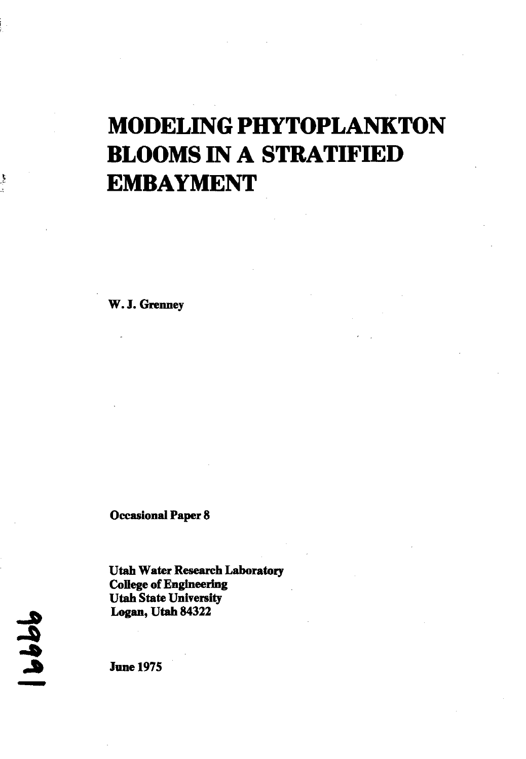# **MODELING PHYTOPLANKTON BLOOMS IN A STRATIFIED EMBAYMENT**

W. J. Grenney

Occasional Paper 8

Utah Water Research Laboratory College of Engineering Utah State University Logan, Utah 84322

**99** <u>ا</u><br>-

ţ

June 1975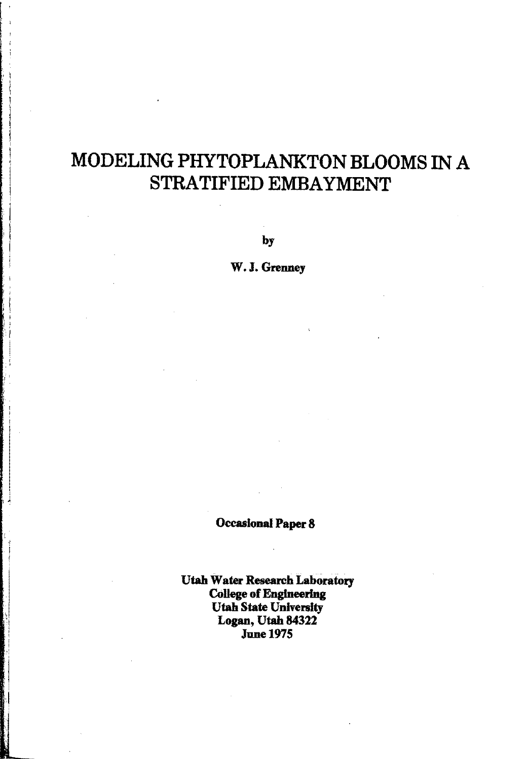# MODELING PHYTOPLANKTON BLOOMS IN A STRATIFIED EMBAYMENT

: I

 $\frac{1}{2}$  $\mathbf{I}$ i

> $\cdot$  . ;<br>} I I

I •

by

W. J. Grenney

Occasional Paper 8

Utah Water Research Laboratory College of Engineering Utah State University Logan, Utah 84322 June 1975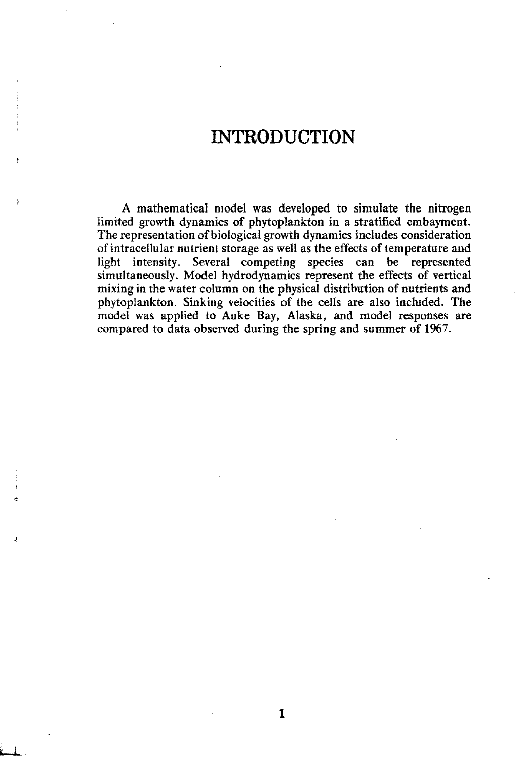### **INTRODUCTION**

A mathematical model was developed to simulate the nitrogen limited growth dynamics of phytoplankton **in** a stratified embayment. The representation of biological growth dynamics includes consideration of intracellular nutrient storage as well as the effects of temperature and light intensity. Several competing species can be represented simultaneously. Model hydrodynamics represent the effects of vertical mixing in the water column on the physical distribution of nutrients and phytoplankton. Sinking velocities of the cells are also included. The model was applied to Auke Bay, Alaska, and model responses are compared to data observed during the spring and summer of 1967.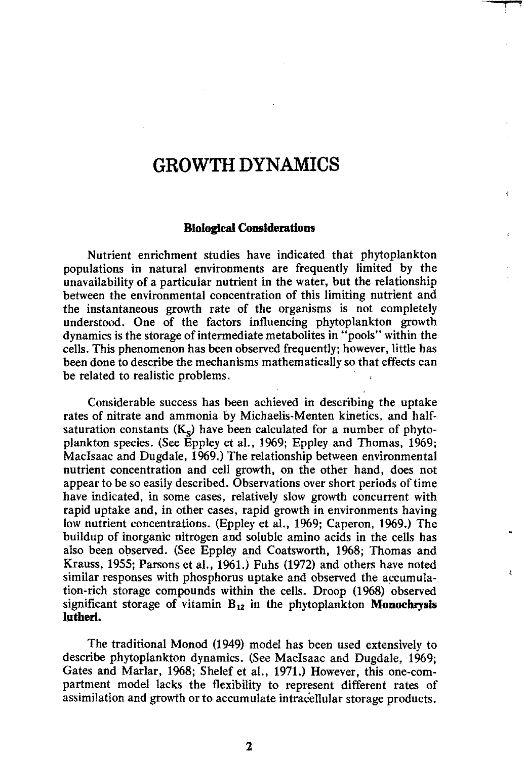### **GROWTH DYNAMICS**

**t**  I

ی

#### **Biological Considerations**

Nutrient enrichment studies have indicated that phytoplankton populations in natural environments are frequently limited by the unavailability of a particular nutrient in the water, but the relationship between the environmental concentration of this limiting nutrient and the instantaneous growth rate of the organisms is not completely understood. One of the factors influencing phytoplankton growth dynamics is the storage of intermediate metabolites in "pools" within the cells. This phenomenon has been observed frequently; however, little has been done to describe the mechanisms mathematically so that effects can be related to realistic problems.

Considerable success has been achieved in describing the uptake rates of nitrate and ammonia by Michaelis·Menten kinetics, and halfsaturation constants  $(K<sub>s</sub>)$  have been calculated for a number of phytoplankton species. (See Eppley et al., 1%9; Eppley and Thomas, 1969; MacIsaac and Dugdale, 1969.) The relationship between environmental nutrient concentration and cell growth, on the other hand, does not appear to be so easily described. Observations over short periods of time have indicated, in some cases, relatively slow growth concurrent with rapid uptake and, in other cases, rapid growth in environments having low nutrient concentrations. (Eppley et al., 1969; Caperon, 1969.) The buildup of inorganic nitrogen and soluble amino acids in the cells has also been observed. (See Eppley and Coatsworth, 1968; Thomas and Krauss, 1955; Parsons et al., 1961.) Fuhs (1972) and others have noted similar responses with phosphorus uptake and observed the accumulation-rich storage compounds within the cells. Droop (1%8) observed significant storage of vitamin B12 in the phytoplankton **Monochrysls Intherl.** 

The traditional Monod (1949) model has been used extensively to describe phytoplankton dynamics. (See MacIsaac and Dugdale, 1969; Gates and Marlar, 1968; Shelef et aI., 1971.) However, this one-compartment model lacks the flexibility to represent different rates of assimilation and growth or to accumulate intracellular storage products.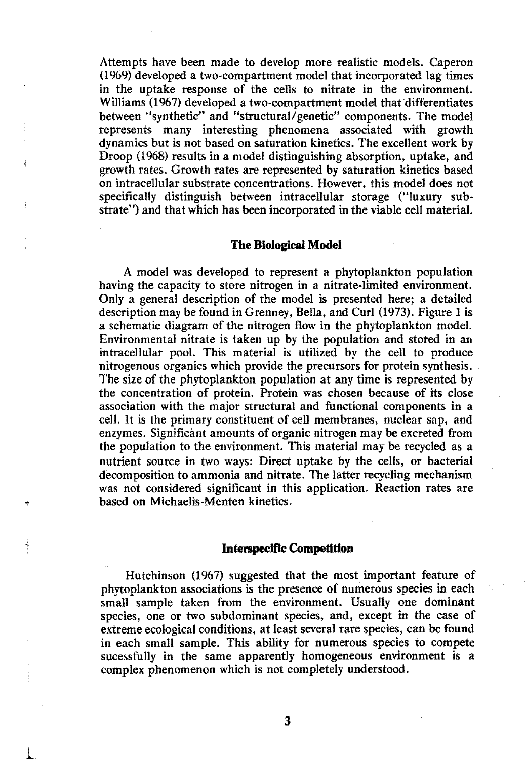Attempts have been made to develop more realistic models. Caperon  $(1969)$  developed a two-compartment model that incorporated lag times in the uptake response of the cells to nitrate in the environment. Williams (1967) developed a two-compartment model that differentiates between "synthetic" and "structural/genetic" components. The model represents many interesting phenomena associated with growth dynamics but is not based on saturation kinetics. The excellent work by Droop (1968) results in a model distinguishing absorption, uptake, and growth rates. Growth rates are represented by saturation kinetics based on intracellular substrate concentrations. However, this model does not specifically distinguish between intracellular storage ("luxury substrate") and that which has been incorporated in the viable cell material.

#### **The Biological Model**

A model was developed to represent a phytoplankton population having the capacity to store nitrogen in a nitrate-limited environment. Only a general description of the model is presented here; a detailed description may be found in Grenney, Bella, and Curl (1973). Fignre 1 is a schematic diagram of the nitrogen flow in the phytoplankton model. Environmental nitrate is taken up by the population and stored in an intracellular pool. This material is utilized by the cell to produce nitrogenous organics which provide the precursors for protein synthesis. The size of the phytoplankton population at any time is represented by the concentration of protein. Protein was chosen because of its close association with the major structural and functional components in a cell. It is the primary constituent of cell membranes, nuclear sap, and enzymes. Significant amounts of organic nitrogen may be excreted from the population to the environment. This material may be recycled as a nutrient source in two ways: Direct uptake by the cells, or bacterial decomposition to ammonia and nitrate. The latter recycling mechanism was not considered significant in this application. Reaction rates are based on Michaelis-Menten kinetics.

#### **Interspecific Competition**

Hutchinson (1967) suggested that the most important feature of phytoplankton associations is the presence of numerous species in each small sample taken from the environment. Usually one dominant species, one or two subdominant species. and, except in the case of extreme ecological conditions. at least several rare species, can be found in each small sample. This ability for numerous species to compete sucessfully in the same apparently homogeneous environment is a complex phenomenon which is not completely understood.

l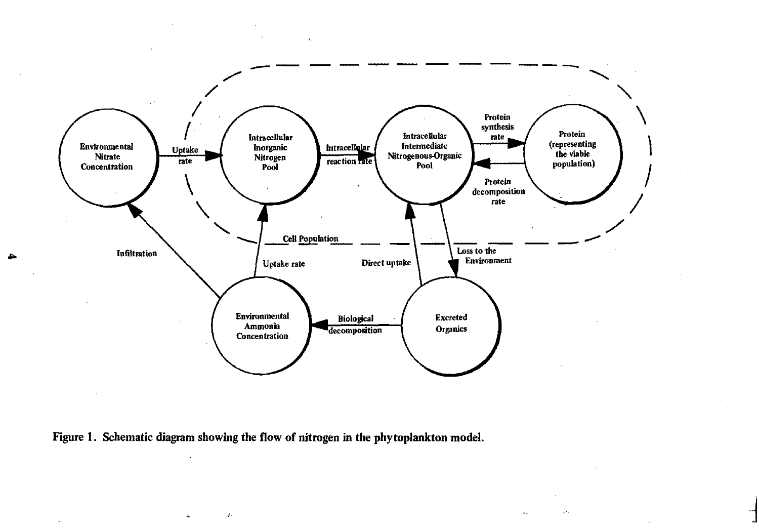

 $\exists$ 

 $\omega_{\rm{D}}^{\rm{th}}$ 

Figure 1. Schematic diagram showing the flow of nitrogen in the phytoplankton model.

 $\mathcal{A}^{\mathbf{t}}$ 

A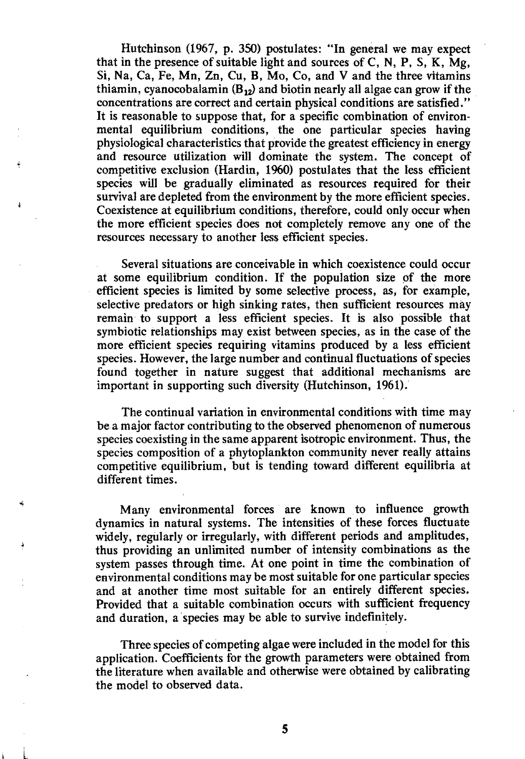Hutchinson (1967, p. 350) postulates: "In general we may expect that in the presence of suitable light and sources of C, N, P, S, K,  $Mg$ , Si, Na, Ca, Fe, Mn, Zn, Cu, B, Mo, Co, and V and the three vitamins thiamin, cyanocobalamin  $(B_{12})$  and biotin nearly all algae can grow if the concentrations are correct and certain physical conditions are satisfied." It is reasonable to suppose that, for a specific combination of environmental equilibrium conditions, the one particular species having physiological characteristics that provide the greatest efficiency in energy and resource utilization will dominate the system. The concept of competitive exclusion (Hardin, 1960) postulates that the less efficient species will be gradually eliminated as resources required for their survival are depleted from the environment by the more efficient species. Coexistence at equilibrium conditions, therefore, could only occur when the more efficient species does not completely remove anyone of the resources necessary to another less efficient species.

Several situations are conceivable in which coexistence could occur at some equilibrium condition. If the population size of the more efficient species is limited by some selective process, as, for example, selective predators or high sinking rates, then sufficient resources may remain to support a less efficient species. It is also possible that symbiotic relationships may exist between species, as in the case of the more efficient species requiring vitamins produced by a less efficient species. However, the large number and continual fluctuations of species found together in nature suggest that additional mechanisms are important in supporting such diversity (Hutchinson, 1961).

The continual variation in environmental conditions with time may bea major factor contributing to the observed phenomenon of numerous species coexisting in the same apparent isotropic environment. Thus, the species composition of a phytoplankton community never really attains competitive equilibrium, but is tending toward different equilibria at different times.

Many environmental forces are known to influence growth dynamics in natural systems. The intensities of these forces fluctuate widely, regularly or irregularly, with different periods and amplitudes, thus providing an unlimited number of intensity combinations as the system passes through time. At one point in time the combination of environmental conditions may be most suitable for one particular species and at another time most suitable for an entirely different species. Provided that a suitable combination occurs with sufficient frequency and duration, a species may be able to survive indefinitely.

Three species of competing algae were included in the model for this application. Coefficients for the growth parameters were obtained from the literature when available and otherwise were obtained by calibrating the model to observed data.

 $\mathbf{L}$ 

Â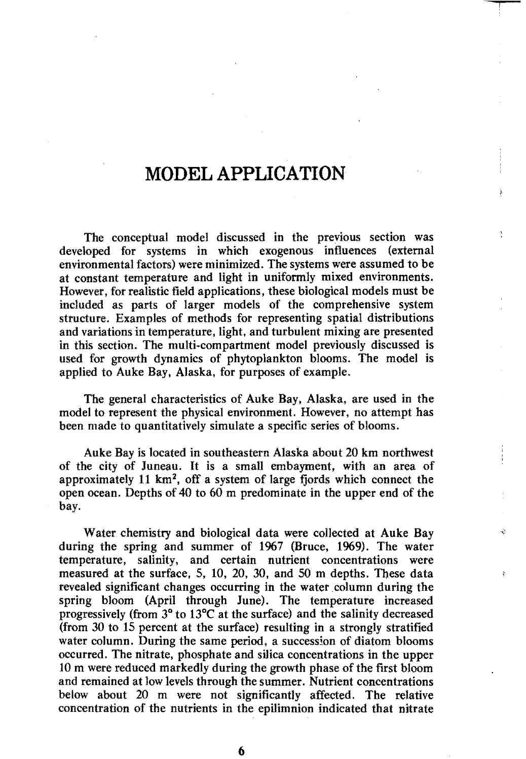### **MODEL APPLICATION**

The conceptual model discussed in the previous section was developed for systems in which exogenous influences (external environmental factors) were minimized. The systems were assumed to be at constant temperature and light in uniformly mixed environments. However, for realistic field applications, these biological models must be included as parts of larger models of the comprehensive system structure. Examples of methods for representing spatial distributions and variations in temperature, light. and turbulent mixing are presented in this section. The multi-compartment model previously discussed is used for growth dynamics of phytoplankton blooms. The model is applied to Auke Bay, Alaska, for purposes of example.

The general characteristics of Auke Bay, Alaska, are used in the model to represent the physical environment. However, no attempt has been made to quantitatively simulate a specific series of blooms.

Auke Bay is located in southeastern Alaska about 20 km northwest of the city of Juneau. It is a small embayment, with an area of approximately 11 km2, off a system of large fjords which connect the open ocean. Depths of 40 to 60 m predominate in the upper end of the bay.

Water chemistry and biological data were collected at Auke Bay during the spring and summer of 1967 (Bruce, 1969). The water temperature, salinity, and certain nutrient concentrations were measured at the surface, 5, 10, 20, 30, and 50 m depths. These data revealed significant changes occurring in the water column during the spring bloom (April through June). The temperature increased progressively (from 3° to 13°C at the surface) and the salinity decreased (from 30 to 15 percent at the surface) resulting in a strongly stratified water column. During the same period, a succession of diatom blooms occurred. The nitrate. phosphate and silica concentrations in the upper 10 m were reduced markedly during the growth phase of the first bloom and remained at low levels through the summer. Nutrient concentrations below about 20 m were not significantly affected. The relative concentration of the nutrients in the epilimnion indicated that nitrate

¢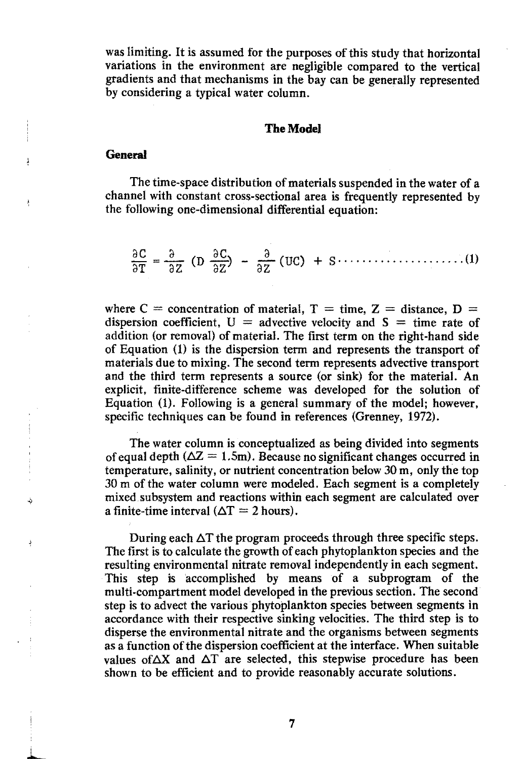was limiting. It is assumed for the purposes of this study that horizontal variations in the environment are negligible compared to the vertical gradients and that mechanisms in the bay can be generally represented by considering a typical water column.

#### The Model

#### **General**

÷,

The time-space distribution of materials suspended in the water of a channel with constant cross-sectional area is frequently represented by the following one-dimensional differential equation:

ae a ae aT = az (D az~ a az (ue) + s····················· (1)

where C = concentration of material,  $T =$  time, Z = distance, D = dispersion coefficient.  $U =$  advective velocity and  $S =$  time rate of addition (or removal) of material. The first term on the right-hand side of Equation (1) is the dispersion term and represents the transport of materials due to mixing. The second term represents advective transport and the third term represents a source (or sink) for the material. An explicit. finite-difference scheme was developed for the solution of Equation (1). Following is a general summary of the model; however, specific techniques can be found in references (Grenney, 1972).

The water column is conceptualized as being divided into segments of equal depth ( $\Delta Z = 1.5$ m). Because no significant changes occurred in temperature, salinity, or nutrient concentration below 30 m, only the top 30 m of the water column were modeled. Each segment is a completely mixed subsystem and reactions within each segment are calculated over a finite-time interval ( $\Delta T = 2$  hours).

During each  $\Delta T$  the program proceeds through three specific steps. The first is to calculate the growth of each phytoplankton species and the resulting environmental nitrate removal independently in each segment. This step is accomplished by means of a subprogram of the mUlti-compartment model developed in the previous section. The second step is to advect the various phytoplankton species between segments in accordance with their respective sinking velocities. The third step is to disperse the environmental nitrate and the organisms between segments as a function of the dispersion coefficient at the interface. When suitable values of  $\Delta X$  and  $\Delta T$  are selected, this stepwise procedure has been shown to be efficient and to provide reasonably accurate solutions.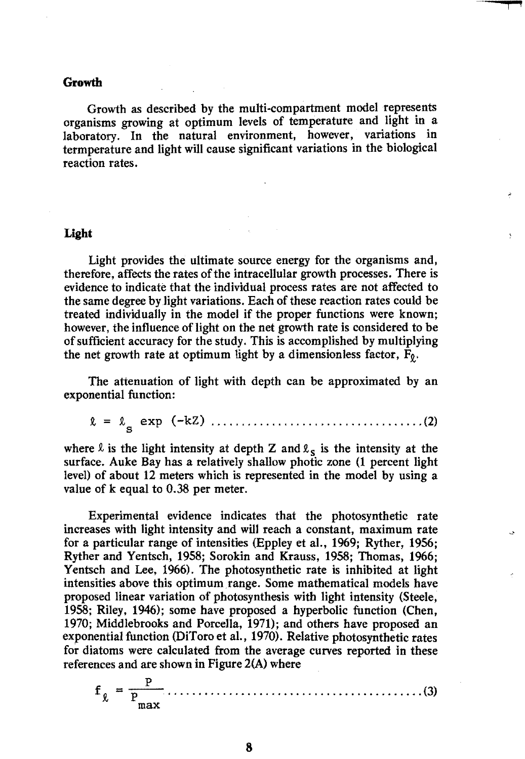#### **Growth**

Growth as described by the multi-compartment model represents organisms growing at optimum levels of temperature and light in a laboratory. In the natural environment, however, variations in term perature and light will cause significant variations in the biological reaction rates.

i 1919. aastal 1919. aastal 1919. aastal 1919. aastal 1919. aastal 1919. aastal 1919. aastal 1919. aastal 191

#### **Light**

Light provides the ultimate source energy for the organisms and, therefore, affects the rates of the intracellular growth processes. There is evidence to indicate that the individual process rates are not affected to the same degree by light variations. Each of these reaction rates could be treated individually in the model if the proper functions were known; however, the influence of light on the net growth rate is considered to be of sufficient accuracy for the study. This is accomplished by mUltiplying the net growth rate at optimum light by a dimensionless factor,  $F_0$ .

The attenuation of light with depth can be approximated by an exponential function:

t = ts exp (-kZ) ................................... (2)

where  $\ell$  is the light intensity at depth Z and  $\ell_s$  is the intensity at the surface. Auke Bay has a relatively shallow photic zone (1 percent light level) of about 12 meters which is represented in the model by using a value of k equal to 0.38 per meter.

Experimental evidence indicates that the photosynthetic rate increases with light intensity and will reach a constant, maximum rate for a particular range of intensities (Eppley et al., 1969; Ryther, 1956; Ryther and Yentsch, 1958; Sorokin and Krauss, 1958; Thomas, 1966; Yentsch and Lee, 1966). The photosynthetic rate is inhibited at light intensities above this optimum range. Some mathematical models have proposed linear variation of photosynthesis with light intensity (Steele, 1958; Riley, 1946); some have proposed a hyperbolic function (Chen, 1970; Middlebrooks and Porcella, 1971); and others have proposed an exponential function (DiToro et al., 1970). Relative photosynthetic rates for diatoms were calculated from the average curves reported in these references and are shown in Figure 2(A) where

p f <sup>t</sup>:: -p-........................................... (3) max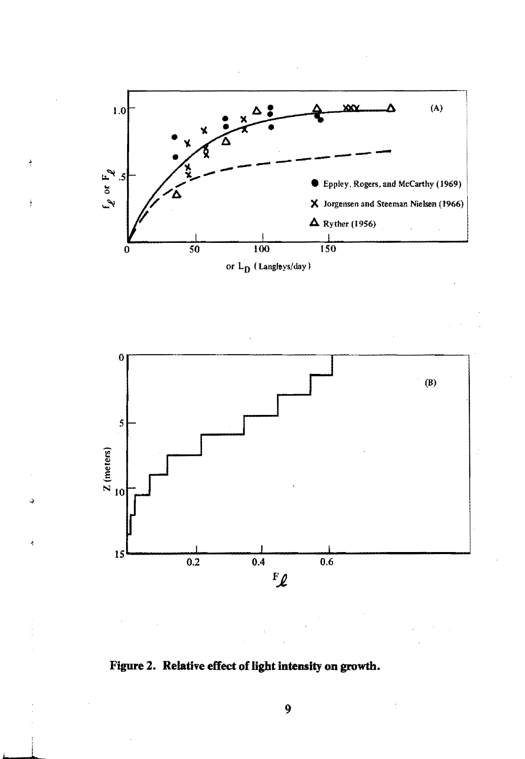

 $\frac{3}{3}$ 

Ĵ

د

 $\frac{1}{2}$ 



**Figure 2. Relative effect of light intensity on growth.**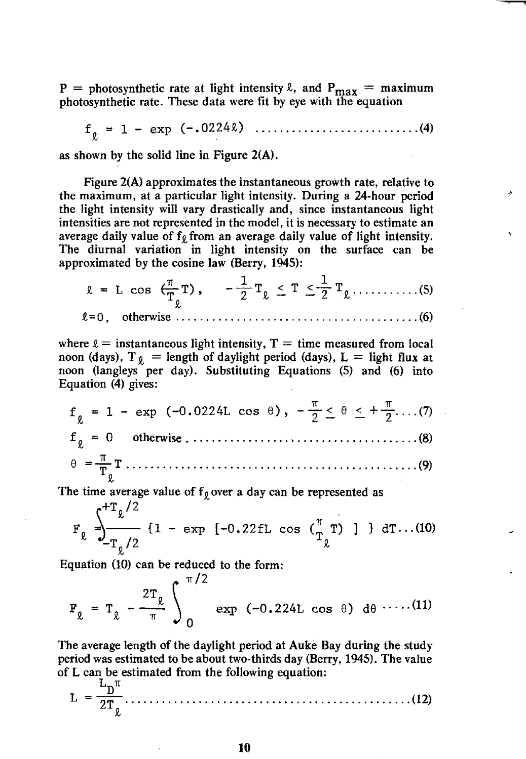P = photosynthetic rate at light intensity  $\ell$ , and  $P_{\text{max}}$  = maximum photosynthetic rate. These data were fit by eye with the equation

f <sup>t</sup>= 1 - exp (-.0224t) ........................... (4)

as shown by the solid line in Figure 2(A).

Figure 2(A) approximates the instantaneous growth rate, relative to the maximum, at a particular light intensity. During a 24-hour period the light intensity will vary drastically and, since instantaneous light intensities are not represented in the model, it is necessary to estimate an average daily value of  $f_{\theta}$  from an average daily value of light intensity. The diurnal variation in light intensity on the surface can be approximated by the cosine law (Berry, 1945):

1T 1 1 <sup>t</sup>= <sup>L</sup>cos tT T) • - T t < T '::'""2 T t ........... (5) t

Q= 0, otherwise ........................................ (6)

where  $\ell$  = instantaneous light intensity, T = time measured from local noon (days),  $T_{\theta}$  = length of daylight period (days), L = light flux at noon (langleys per day). Substituting Equations (5) and (6) into Equation (4) gives:

'If 'If f t 1 - exp (-0.0224L cos e). - T'::' e .:::.. +2···.(7) f <sup>t</sup>o otherwise ....................................... (8)

1T e ="TT ................................................ (9) t .

The time average value of  $f_{\varrho}$  over a day can be represented as

$$
F_{\ell} = \frac{\int_{-T_{\ell}/2}^{+T_{\ell}/2} \{1 - \exp\left[-0.22fL\cos\left(\frac{\pi}{T_{\ell}}\right)\right] \} dT \dots (10)}{T_{\ell}}
$$

Equation (10) can be reduced to the form:

$$
F_{\ell} = T_{\ell} - \frac{2T_{\ell}}{\pi} \int_{0}^{\pi/2} \exp (-0.224L \cos \theta) d\theta \cdots (11)
$$

The average length of the daylight period at Auke Bay during the study period was estimated to be about two-thirds day (Berry, 1945). The value of L can be estimated from the following equation:  $T$ .  $\pi$ 

<sup>L</sup><sup>=</sup>2T ............................................... (12) t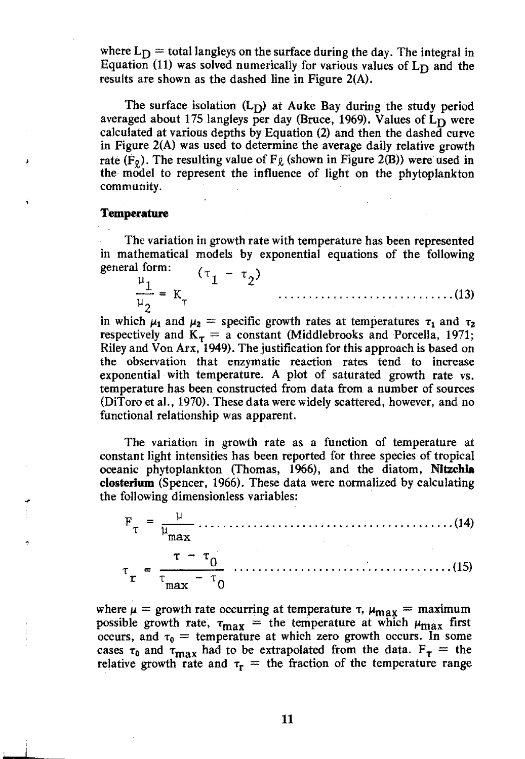where  $L_D$  = total langleys on the surface during the day. The integral in Equation (11) was solved numerically for various values of  $L_D$  and the results are shown as the dashed line in Figure 2(A).

The surface isolation  $(L_D)$  at Auke Bay during the study period averaged about 175 langleys per day (Bruce, 1969). Values of  $L<sub>D</sub>$  were calculated at various depths by Equation (2) and then the dashed curve in Figure 2(A) was used to determine the average daily relative growth rate  $(F_0)$ . The resulting value of  $F_{\ell}$  (shown in Figure 2(B)) were used in the model to represent the influence of light on the phytoplankton community.

#### **Temperature**

The variation in growth rate with temperature has been represented in mathematical models by exponential equations of the following general form:

 $\frac{\mu_1}{\mu_2} = K_{\tau}$   $(\tau_1 - \tau_2)$ - = K ............................. (13) J.l2 <sup>T</sup>

in which  $\mu_1$  and  $\mu_2$  = specific growth rates at temperatures  $\tau_1$  and  $\tau_2$ respectively and  $K<sub>\tau</sub> = a constant$  (Middlebrooks and Porcella, 1971; Riley and Von Arx. 1949). The justification for this approach is based on the observation that enzymatic reaction rates tend to increase exponential with temperature. A plot of saturated growth rate vs. temperature has been constructed from data from a number of sources (DiToro et al., 1970). These data were widely scattered, however, and no functional relationship was apparent.

The variation in growth rate as a function of temperature at constant light intensities has been reported for three species of tropical oceanic phytoplankton (Thomas, 1966), and the diatom, Nltzchla closterium (Spencer, 1966). These data were normalized by calculating the following dimensionless variables: .

| $\tau - \tau$ |  |
|---------------|--|

where  $\mu$  = growth rate occurring at temperature  $\tau$ ,  $\mu_{\text{max}}$  = maximum possible growth rate,  $\tau_{\text{max}}$  = the temperature at which  $\mu_{\text{max}}$  first occurs, and  $\tau_0$  = temperature at which zero growth occurs. In some cases  $\tau_0$  and  $\tau_{\text{max}}$  had to be extrapolated from the data.  $F_\tau$  = the relative growth rate and  $\tau_r$  = the fraction of the temperature range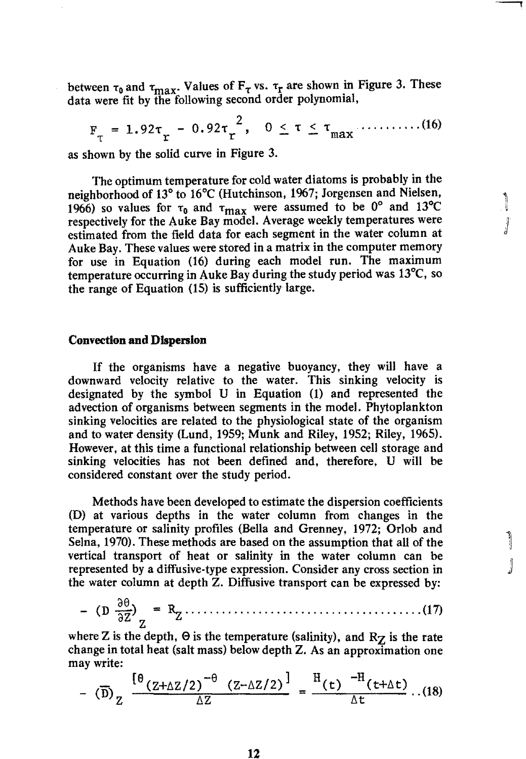between  $\tau_0$  and  $\tau_{\text{max}}$ . Values of  $F_\tau$  vs.  $\tau_r$  are shown in Figure 3. These data were fit by the following second order polynomial,

 $F_{\tau} = 1.92\tau_r - 0.92\tau_r^2$ ,  $0 \le \tau \le \tau_{max}$ ...........(16)

as shown by the solid curve in Figure 3.

The optimum temperature for cold water diatoms is probably in the neighborhood of 13° to 16°C (Hutchinson, 1967; Jorgensen and Nielsen, 1966) so values for  $\tau_0$  and  $\tau_{\text{max}}$  were assumed to be 0<sup>°</sup> and 13<sup>°</sup>C respectively for the Auke Bay model. Average weekly temperatures were estimated from the field data for each segment in the water column at Auke Bay. These values were stored in a matrix in the computer memory for use in Equation (16) during each model run. The maximum temperature occurring in Auke Bay during the study period was  $13^{\circ}$ C, so the range of Equation (15) is sufficiently large.

 $\int$ 

j

١

#### Convection **and Dispersion**

If the organisms have a negative buoyancy, they will have a downward velocity relative to the water. This sinking velocity is designated by the symbol U in Equation (1) and represented the advection of organisms between segments in the model. Phytoplankton sinking velocities are related to the physiological state of the organism and to water density (Lund, 1959; Munk and Riley, 1952; Riley, 1965). However, at this time a functional relationship between cell storage and sinking velocities has not been defined and, therefore. U will be considered constant over the study period.

Methods have been developed to estimate the dispersion coefficients (D) at various depths in the water column from changes in the temperature or salinity profiles (Bella and Grenney, 1972; Orlob and Selna, 1970). These methods are based on the assumption that all of the vertical transport of heat or salinity in the water column can be represented by a diffusive-type expression. Consider any cross section in the water column at depth Z. Diffusive transport can be expressed by:

$$
-(D \frac{\partial \theta}{\partial Z})_{Z} = R_{Z} \dots (17)
$$

where Z is the depth,  $\Theta$  is the temperature (salinity), and  $R_Z$  is the rate change in total heat (salt mass) below depth Z. As an approximation one may write:

$$
- \left( \overline{D} \right)_Z \frac{\left[ \theta_{(Z+\Delta Z/Z)} \right]^{-\theta} (Z-\Delta Z/Z)}{\Delta Z} = \frac{\text{H}_{(t)} - \text{H}_{(t+\Delta t)}}{\Delta t} \dots (18)
$$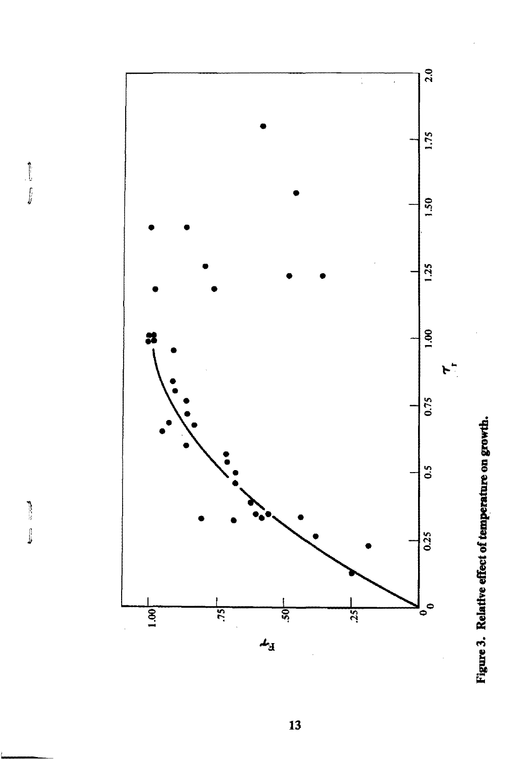



 $\begin{array}{c} \hline \end{array}$ 

 $\boldsymbol{13}$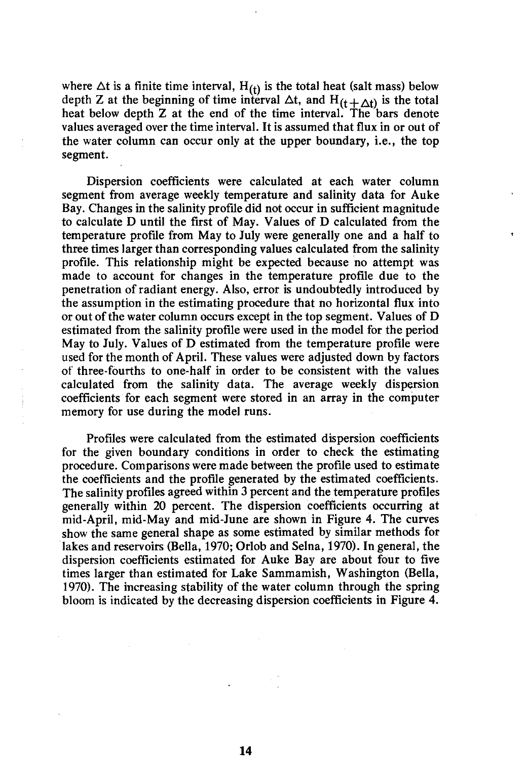where  $\Delta t$  is a finite time interval,  $H_{(t)}$  is the total heat (salt mass) below depth Z at the beginning of time interval  $\Delta t$ , and  $H_{(t + \Delta t)}$  is the total heat below depth Z at the end of the time interval. The bars denote values averaged over the time interval. It is assumed that flux in or out of the water column can occur only at the upper boundary, i.e., the top segment.

Dispersion coefficients were calculated at each water column segment from average weekly temperature and salinity data for Auke Bay. Changes in the salinity profile did not occur in sufficient magnitude to calculate D until the first of May. Values of D calculated from the temperature profile from May to July were generally one and a half to three times larger than corresponding values calculated from the salinity profile. This relationship might be expected because no attempt was made to account for changes in the temperature profile due to the penetration of radiant energy. Also, error is undoubtedly introduced by the assumption in the estimating procedure that no horizontal flux into or out of the water column occurs except in the top segment. Values of D estimated from the salinity profile were used in the model for the period May to July. Values of D estimated from the temperature profile were used for the month of April. These values were adjusted down by factors of three-fourths to one-half in order to be consistent with the values calculated from the salinity data. The average weekly dispersion coefficients for each segment were stored in an array in the computer memory for use during the model runs.

Profiles were calculated from the estimated dispersion coefficients for the given boundary conditions in order to check the estimating procedure. Comparisons were made between the profile used to estimate the coefficients and the profile generated by the estimated coefficients. The salinity profiles agreed within 3 percent and the temperature profiles generally within 20 percent. The dispersion coefficients occurring at mid-April, mid-May and mid-June are shown in Figure 4. The curves show the same general shape as some estimated by similar methods for lakes and reservoirs (Bella, 1970; Orlob and Selna, 1970). In general, the dispersion coefficients estimated for Auke Bay are about four to five times larger than estimated for Lake Sammamish, Washington (Bella, 1970). The increasing stability of the water column through the spring bloom is indicated by the decreasing dispersion coefficients in Figure 4.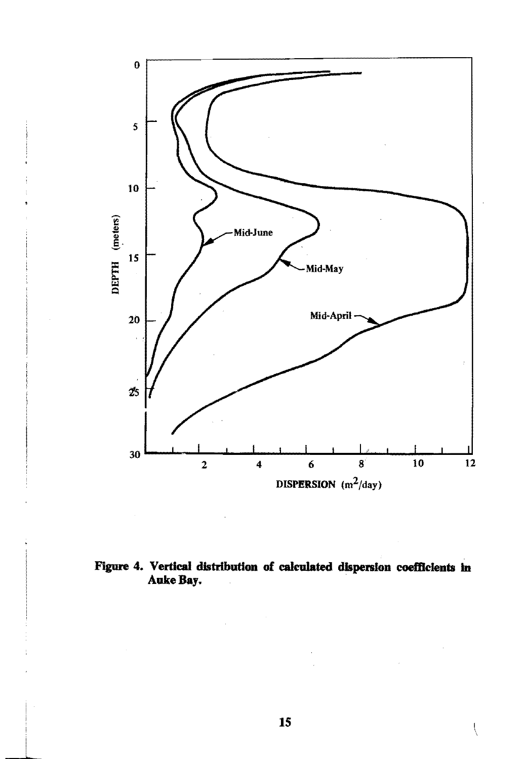

#### Figure 4. Vertical distribution of calculated dispersion coefficients in Auke Bay.

ţ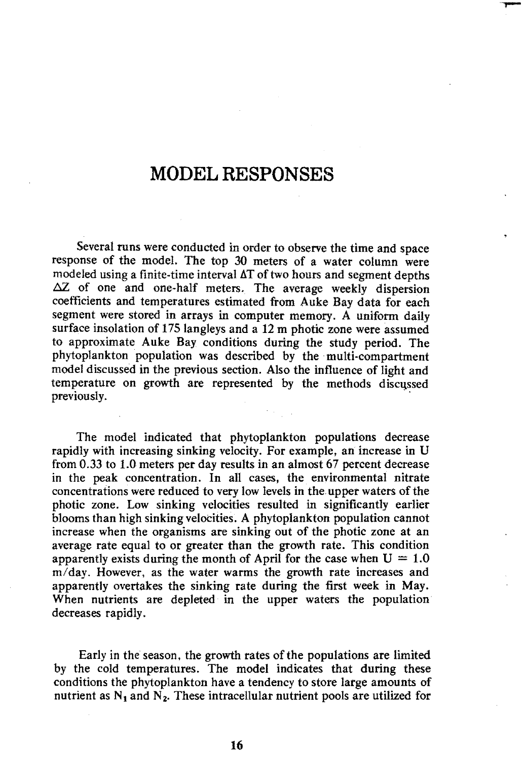### **MODEL RESPONSES**

Several runs were conducted in order to observe the time and space response of the model. The top 30 meters of a water column were modeled using a finite-time interval  $\Delta T$  of two hours and segment depths  $\Delta Z$  of one and one-half meters. The average weekly dispersion coefficients and temperatures estimated from Auke Bay data for each segment were stored in arrays in computer memory. A uniform daily surface insolation of 175 langleys and a 12 m photic zone were assumed to approximate Auke Bay conditions during the study period. The phytoplankton population was described by the multi-compartment model discussed in the previous section. Also the influence of light and temperature on growth are represented by the methods discqssed previously.

The model indicated that phytoplankton populations decrease rapidly with increasing sinking velocity. For example, an increase in U from 0.33 to 1.0 meters per day results in an almost 67 percent decrease in the peak concentration. In all cases, the environmental nitrate concentrations were reduced to very low levels in the upper waters of the photic zone. Low sinking velocities resulted in significantly earlier blooms than high sinking velocities. A phytoplankton population cannot increase when the organisms are sinking out of the photic zone at an average rate equal to or greater than the growth rate. This condition apparently exists during the month of April for the case when  $U = 1.0$ m/day. However, as the water warms the growth rate increases and apparently overtakes the sinking rate during the first week in May. When nutrients are depleted in the upper waters the population decreases rapidly.

Early in the season, the growth rates of the populations are limited by the cold temperatures. The model indicates that during these conditions the phytoplankton have a tendency to store large amounts of nutrient as  $N_1$  and  $N_2$ . These intracellular nutrient pools are utilized for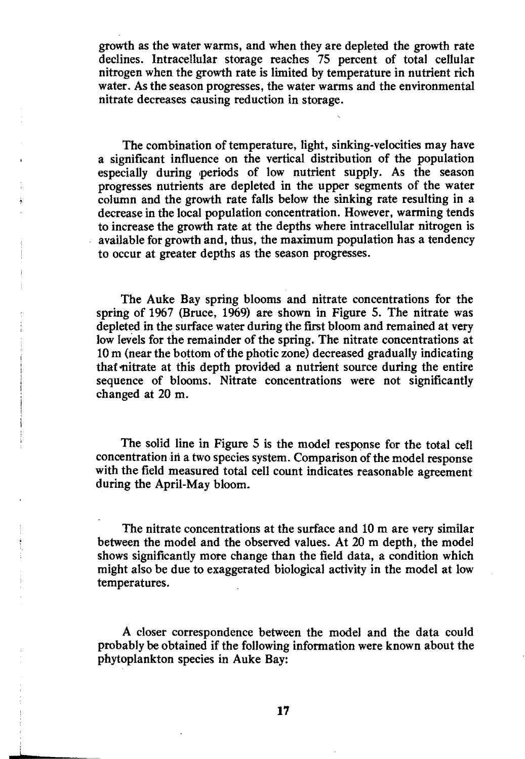growth as the water warms, and when they are depleted the growth rate declines. Intracellular storage reaches 75 percent of total cellular nitrogen when the growth rate is limited by temperature in nutrient rich water. As the season progresses, the water warms and the environmental nitrate decreases causing reduction in storage.

The combination of temperature, light, sinking-velocities may have a significant influence on the vertical distribution of the population especially during 'periods of low nutrient supply. As the season progresses nutrients are depleted in the upper segments of the water column and the growth rate faits below the sinking rate resulting in a decrease in the local population concentration. However. warming tends to increase the growth rate at the depths where intracellular nitrogen is available for growth and, thus, the maximum population has a tendency to occur at greater depths as the season progresses.

The Auke Bay spring blooms and nitrate concentrations for the spring of 1967 (Bruce, 1969) are shown in Figure 5. The nitrate was depleted in the surface water during the first bloom and remained at very low levels for the remainder of the spring. The nitrate concentrations at 10 m (near the bottom of the photic zone) decreased gradually indicating that nitrate at this depth provided a nutrient source during the entire sequence of blooms. Nitrate concentrations were not significantly changed at 20 m.

The solid line in Figure 5 is the model response for the total celt concentration in a two species system. Comparison of the model response with the field measured total cell count indicates reasonable agreement during the April-May bloom.

The nitrate concentrations at the surface and 10 m are very similar between the model and the observed values. At 20 m depth, the model shows significantly more change than the field data, a condition which might also be due to exaggerated biological activity in the model at low temperatures.

A closer correspondence between the model and the data could probably be obtained if the following information were known about the phytoplankton species in Auke Bay:

**17** 

L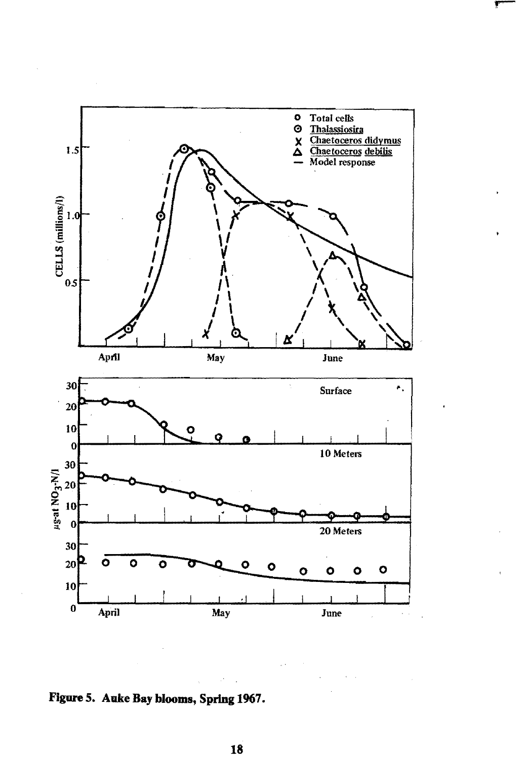

**Figure 5. Auke Bay blooms, Spring 1967.**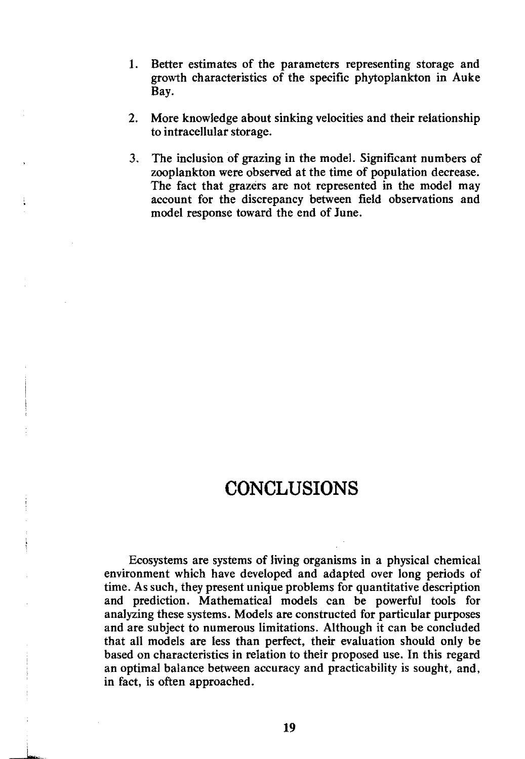- 1. Better estimates of the parameters representing storage and growth characteristics of the specific phytoplankton in Auke Bay.
- 2. More knowledge about sinking velocities and their relationship to intracellular storage.
- 3. The inclusion of grazing in the model. Significant numbers of zooplankton were observed at the time of population decrease. The fact that grazers are not represented in the model may account for the discrepancy between field observations and model response toward the end of June.

### **CONCLUSIONS**

Ecosystems are systems of living organisms in a physical chemical environment which have developed and adapted over long periods of time. As such, they present unique problems for quantitative description and prediction. Mathematical models can be powerful tools for analyzing these systems. Models are constructed for particular purposes and are subject to numerous limitations. Although it can be concluded that all models are less than perfect, their evaluation should only be based on characteristics in relation to their proposed use. In this regard an optimal balance between accuracy and practicability is sought, and, in fact, is often approached.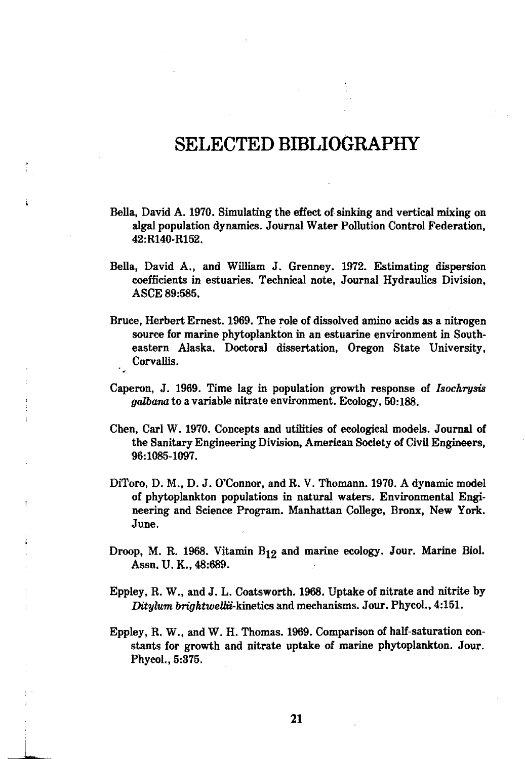### **SELECTED BffiLIOGRAPHY**

- Bella, David A. 1970. Simulating the effect of sinking and vertical mixing on algal population dynamics. Journal Water Pollution Control Federation, 42:R140· R152.
- Bella, David A., and William J. Grenney. 1972. Estimating dispersion coefficients in estuaries. Technical note. Journal, Hydraulics Division, ASCE 89:585.
- Bruce. Herbert Ernest. 1969. The role of dissolved amino acids as a nitrogen source for marine phytoplankton in an estuarine environment in South· eastern Alaska. Doctoral dissertation. Oregon State University. Corvallis.
- Caperon, J. 1969. Time lag in population growth response of *Isochrusis* galbana to a variable nitrate environment. Ecology. 50:188.
- Chen, Carl W. 1970. Concepts and utilities of ecological models. Journal of the Sanitary Engineering Division. American Society of Civil Engineers. 96:1085-1097.
- DiToro, D. M., D. J. O'Connor, and R. V. Thomann. 1970. A dynamic model of phytoplankton populations in natural waters. Environmental Engineering and Science Program. Manhattan College. Bronx. New York. June.
- Droop. M. R. 1968. Vitamin B12 and marine ecology. Jour. Marine BioI. Assn. U. K., 48:689.
- Eppley, R. W., and J. L. Coatsworth. 1968. Uptake of nitrate and nitrite by *Ditylum brightwellii-kinetics and mechanisms. Jour. Phycol., 4:151.*
- Eppley, R. W., and W. H. Thomas. 1969. Comparison of half-saturation constants for growth and nitrate uptake of marine phytoplankton. Jour. Phycol.,5:375.

L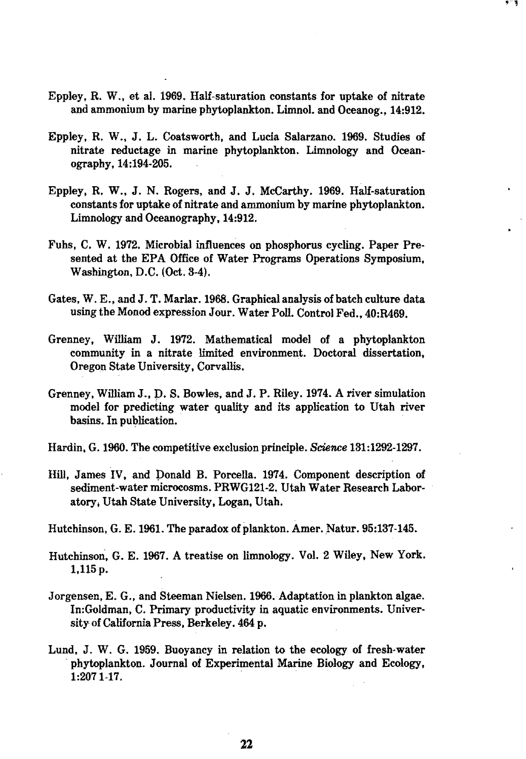Eppley, R. W., et al. 1969. Half-saturation constants for uptake of nitrate and ammonium by marine phytoplankton. Limnol. and Oceanog., 14:912. '1

- Eppley, R. W., J. L. Coatsworth, and Lucia Salarzano. 1969. Studies of nitrate reductage in marine phytoplankton. Limnology and Oceanography, 14:194-205.
- Eppley. R. W., J. N. Rogers, and J. J. McCarthy. 1969. Half-saturation constants for uptake of nitrate and ammonium by marine phytoplankton. Limnology and Oceanography, 14:912.
- Fuhs, C. W. 1972. Microbial influences on phosphorus cycling. Paper Presented at the EPA Office of Water Programs Operations Symposium, Washington, D.C. (Oct. 3-4),
- Gates, W. E., and J. T. MarIar.1968. GraphicalanaIysis of batch culture data using the Monod expression Jour. Water Poll. Control Fed., 40:R469.
- Grenney. William J. 1972. Mathematical model of a phytoplankton community in a nitrate limited environment. Doctoral dissertation, Oregon State University, Corvallis.
- Grenney, William J., p. S. Bowles, and J. P. Riley. 1974. A river simulation model for predicting water quality and its application to Utah river basins. In publication.
- Hardin. G.1960. The competitive exclusion principle. *Science 131:1292-1297.*
- Hill, James IV, and Donald B. Porcella. 1974. Component description of sediment-water microcosms. PRWG121-2. Utah Water Research Laboratory; Utah State University, Logan, Utah.

Hutchinson. G. E.1961. The paradox of plankton. Amer. Natur. 95:137-145.

- Hutchinson, G. E. 1967. A treatise on limnology. Vol. 2 Wiley, New York. 1,115p.
- Jorgensen, E. G., and Steeman Nielsen. 1966. Adaptation in plankton algae. In:Goldman, C. Primary productivity in aquatic environments. University of California Press, Berkeley. 464 p.
- Lund. J. W. G. 1959. Buoyancy in relation to the ecology of fresh-water phytoplankton. Journal of Experimental Marine Biology and Ecology, 1:2071-17. .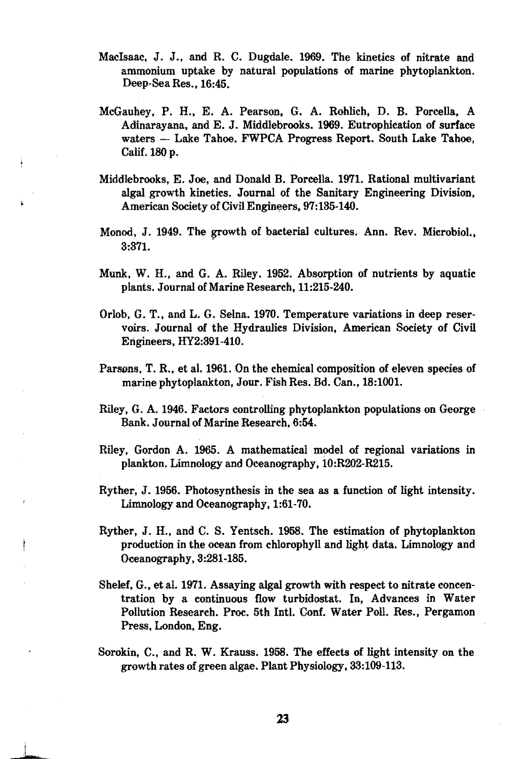- MacIsaac, J. J., and R. C. Dugdale. 1969. The kinetics of nitrate and ammonium uptake by natural populations of marine phytoplankton. Deep-Sea Res., 16:45.
- McGauhey, P. H., E. A. Pearson, G. A. Rohlich, D. B. Porcella, A Adinarayana, and E. J. Middlebrooks. 1969. Eutrophication of surface waters - Lake Tahoe. FWPCA Progress Report. South Lake Tahoe. Calif. 180 p.
- Middlebrooks, E. Joe, and Donald B. Porcella. 1971. Rational multivariant algal growth kinetics. Journal of the Sanitary Engineering Division, American Society of Civil Engineers, 97:135-140.
- Monod. J. 1949. The growth of bacterial cultures. Ann. Rev. Microbiol., 3:371.
- Munk, W. H., and G. A. Riley. 1952. Absorption of nutrients by aquatic plants. Journal of Marine Research, 11:215-240.
- Orlob, G. T., and L. G. Selna. 1970. Temperature variations in deep reservoirs. Journal of the Hydraulics Division. American Society of Civil Engineers, HY2:391-410.
- Parsons, T. R., et al. 1961. On the chemical composition of eleven species of marine phytoplankton, Jour. Fish Res. Bd. Can., 18:1001.
- Riley. G. A. 1946. Factors controlling phytoplankton populations on George Bank. Journal of Marine Research, 6:54.
- Riley, Gordon A. 1965. A mathematical model of regional variations in plankton. Limnology and Oceanography. iO:R202-R215.
- Ryther. J. 1956. Photosynthesis in the sea as a function of light intensity. Limnology and Oceanography, 1:61-70.
- Ryther, J. H., and C. S. Yentsch. 1958. The estimation of phytoplankton production in the ocean from chlorophyll and light data. Limnology and Oceanography, 3:281-185.
- Shelef, G., et al. 1971. Assaying algal growth with respect to nitrate concentration by a continuous flow turbidostat. In, Advances in Water Pollution Research. Proc. 5th Inti. Conf. Water Poll. Res., Pergamon Press, London, Eng.
- Sorokin, C., and R. W. Krauss. 1958. The effects of light intensity on the growth rates of green algae. Plant Physiology. 33:109-113.